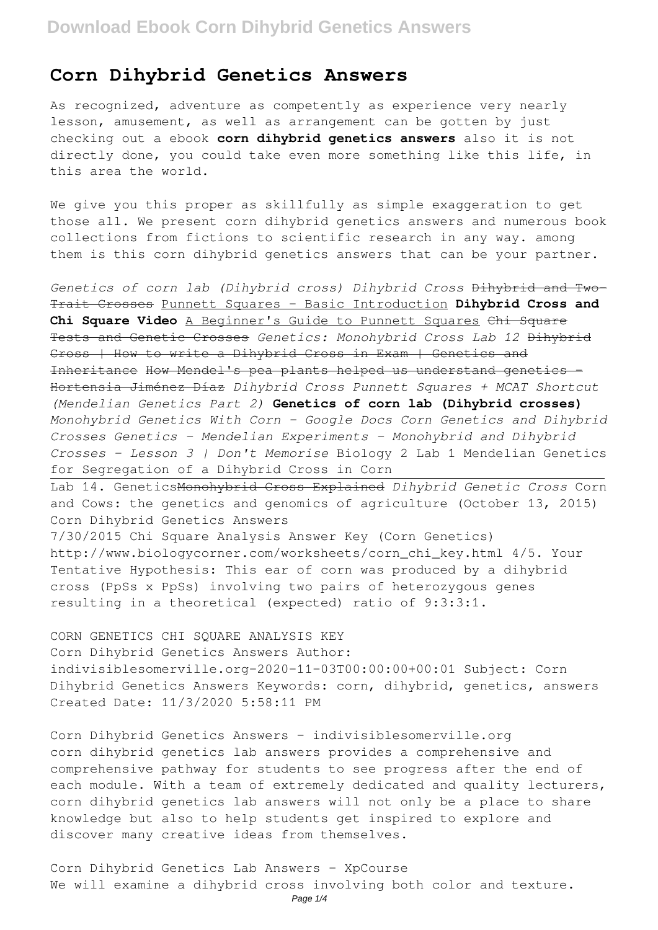## **Corn Dihybrid Genetics Answers**

As recognized, adventure as competently as experience very nearly lesson, amusement, as well as arrangement can be gotten by just checking out a ebook **corn dihybrid genetics answers** also it is not directly done, you could take even more something like this life, in this area the world.

We give you this proper as skillfully as simple exaggeration to get those all. We present corn dihybrid genetics answers and numerous book collections from fictions to scientific research in any way. among them is this corn dihybrid genetics answers that can be your partner.

*Genetics of corn lab (Dihybrid cross) Dihybrid Cross* Dihybrid and Two-Trait Crosses Punnett Squares - Basic Introduction **Dihybrid Cross and Chi Square Video** A Beginner's Guide to Punnett Squares Chi Square Tests and Genetic Crosses *Genetics: Monohybrid Cross Lab 12* Dihybrid Cross | How to write a Dihybrid Cross in Exam | Genetics and Inheritance How Mendel's pea plants helped us understand genetics - Hortensia Jiménez Díaz *Dihybrid Cross Punnett Squares + MCAT Shortcut (Mendelian Genetics Part 2)* **Genetics of corn lab (Dihybrid crosses)** *Monohybrid Genetics With Corn - Google Docs Corn Genetics and Dihybrid Crosses Genetics - Mendelian Experiments - Monohybrid and Dihybrid Crosses - Lesson 3 | Don't Memorise* Biology 2 Lab 1 Mendelian Genetics for Segregation of a Dihybrid Cross in Corn

Lab 14. GeneticsMonohybrid Cross Explained *Dihybrid Genetic Cross* Corn and Cows: the genetics and genomics of agriculture (October 13, 2015) Corn Dihybrid Genetics Answers

7/30/2015 Chi Square Analysis Answer Key (Corn Genetics) http://www.biologycorner.com/worksheets/corn\_chi\_key.html 4/5. Your Tentative Hypothesis: This ear of corn was produced by a dihybrid cross (PpSs x PpSs) involving two pairs of heterozygous genes resulting in a theoretical (expected) ratio of 9:3:3:1.

CORN GENETICS CHI SQUARE ANALYSIS KEY Corn Dihybrid Genetics Answers Author: indivisiblesomerville.org-2020-11-03T00:00:00+00:01 Subject: Corn Dihybrid Genetics Answers Keywords: corn, dihybrid, genetics, answers Created Date: 11/3/2020 5:58:11 PM

Corn Dihybrid Genetics Answers - indivisiblesomerville.org corn dihybrid genetics lab answers provides a comprehensive and comprehensive pathway for students to see progress after the end of each module. With a team of extremely dedicated and quality lecturers, corn dihybrid genetics lab answers will not only be a place to share knowledge but also to help students get inspired to explore and discover many creative ideas from themselves.

Corn Dihybrid Genetics Lab Answers - XpCourse We will examine a dihybrid cross involving both color and texture.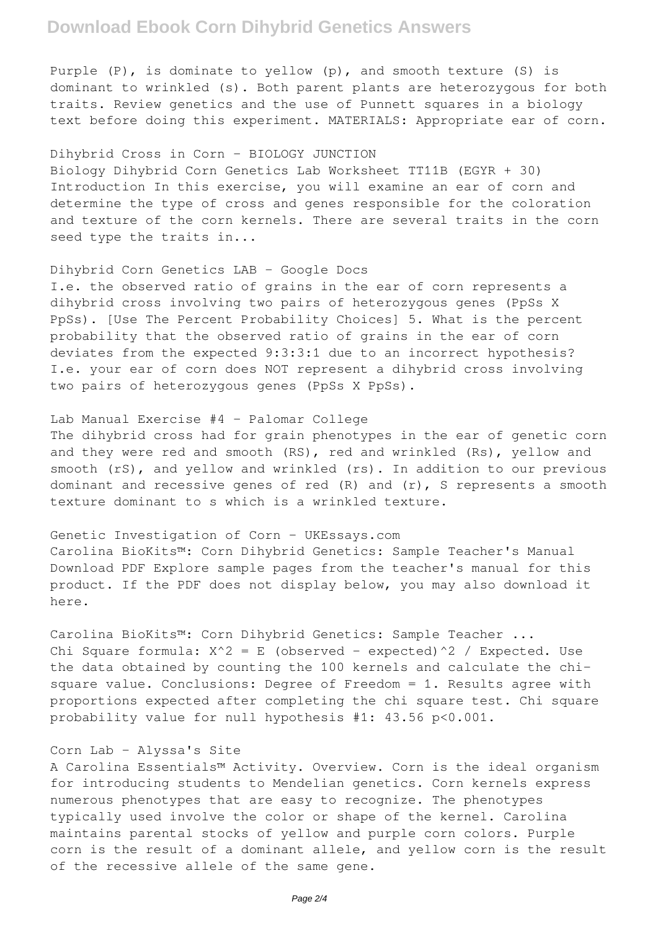# **Download Ebook Corn Dihybrid Genetics Answers**

Purple (P), is dominate to yellow (p), and smooth texture (S) is dominant to wrinkled (s). Both parent plants are heterozygous for both traits. Review genetics and the use of Punnett squares in a biology text before doing this experiment. MATERIALS: Appropriate ear of corn.

## Dihybrid Cross in Corn - BIOLOGY JUNCTION

Biology Dihybrid Corn Genetics Lab Worksheet TT11B (EGYR + 30) Introduction In this exercise, you will examine an ear of corn and determine the type of cross and genes responsible for the coloration and texture of the corn kernels. There are several traits in the corn seed type the traits in...

### Dihybrid Corn Genetics LAB - Google Docs

I.e. the observed ratio of grains in the ear of corn represents a dihybrid cross involving two pairs of heterozygous genes (PpSs X PpSs). [Use The Percent Probability Choices] 5. What is the percent probability that the observed ratio of grains in the ear of corn deviates from the expected 9:3:3:1 due to an incorrect hypothesis? I.e. your ear of corn does NOT represent a dihybrid cross involving two pairs of heterozygous genes (PpSs X PpSs).

### Lab Manual Exercise #4 - Palomar College

The dihybrid cross had for grain phenotypes in the ear of genetic corn and they were red and smooth (RS), red and wrinkled (Rs), yellow and smooth (rS), and yellow and wrinkled (rs). In addition to our previous dominant and recessive genes of red (R) and (r), S represents a smooth texture dominant to s which is a wrinkled texture.

#### Genetic Investigation of Corn - UKEssays.com

Carolina BioKits™: Corn Dihybrid Genetics: Sample Teacher's Manual Download PDF Explore sample pages from the teacher's manual for this product. If the PDF does not display below, you may also download it here.

Carolina BioKits™: Corn Dihybrid Genetics: Sample Teacher ... Chi Square formula:  $X^2 = E$  (observed - expected)^2 / Expected. Use the data obtained by counting the 100 kernels and calculate the chisquare value. Conclusions: Degree of Freedom = 1. Results agree with proportions expected after completing the chi square test. Chi square probability value for null hypothesis #1: 43.56 p<0.001.

### Corn Lab - Alyssa's Site

A Carolina Essentials™ Activity. Overview. Corn is the ideal organism for introducing students to Mendelian genetics. Corn kernels express numerous phenotypes that are easy to recognize. The phenotypes typically used involve the color or shape of the kernel. Carolina maintains parental stocks of yellow and purple corn colors. Purple corn is the result of a dominant allele, and yellow corn is the result of the recessive allele of the same gene.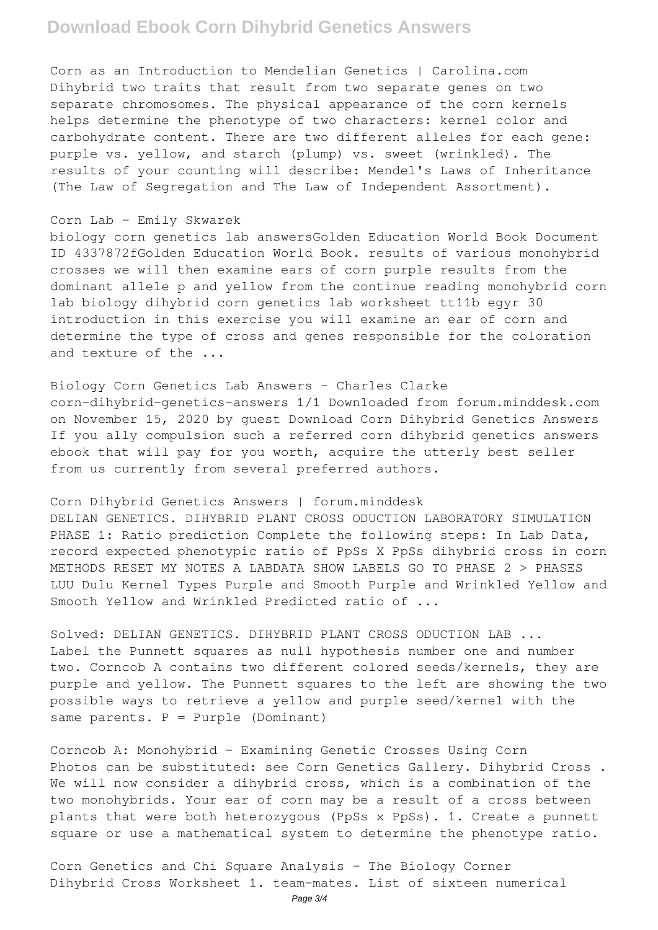# **Download Ebook Corn Dihybrid Genetics Answers**

Corn as an Introduction to Mendelian Genetics | Carolina.com Dihybrid two traits that result from two separate genes on two separate chromosomes. The physical appearance of the corn kernels helps determine the phenotype of two characters: kernel color and carbohydrate content. There are two different alleles for each gene: purple vs. yellow, and starch (plump) vs. sweet (wrinkled). The results of your counting will describe: Mendel's Laws of Inheritance (The Law of Segregation and The Law of Independent Assortment).

### Corn Lab - Emily Skwarek

biology corn genetics lab answersGolden Education World Book Document ID 4337872fGolden Education World Book. results of various monohybrid crosses we will then examine ears of corn purple results from the dominant allele p and yellow from the continue reading monohybrid corn lab biology dihybrid corn genetics lab worksheet tt11b egyr 30 introduction in this exercise you will examine an ear of corn and determine the type of cross and genes responsible for the coloration and texture of the ...

Biology Corn Genetics Lab Answers - Charles Clarke corn-dihybrid-genetics-answers 1/1 Downloaded from forum.minddesk.com on November 15, 2020 by guest Download Corn Dihybrid Genetics Answers If you ally compulsion such a referred corn dihybrid genetics answers ebook that will pay for you worth, acquire the utterly best seller from us currently from several preferred authors.

Corn Dihybrid Genetics Answers | forum.minddesk DELIAN GENETICS. DIHYBRID PLANT CROSS ODUCTION LABORATORY SIMULATION PHASE 1: Ratio prediction Complete the following steps: In Lab Data, record expected phenotypic ratio of PpSs X PpSs dihybrid cross in corn METHODS RESET MY NOTES A LABDATA SHOW LABELS GO TO PHASE 2 > PHASES LUU Dulu Kernel Types Purple and Smooth Purple and Wrinkled Yellow and Smooth Yellow and Wrinkled Predicted ratio of ...

Solved: DELIAN GENETICS. DIHYBRID PLANT CROSS ODUCTION LAB ... Label the Punnett squares as null hypothesis number one and number two. Corncob A contains two different colored seeds/kernels, they are purple and yellow. The Punnett squares to the left are showing the two possible ways to retrieve a yellow and purple seed/kernel with the same parents.  $P = Purple$  (Dominant)

Corncob A: Monohybrid - Examining Genetic Crosses Using Corn Photos can be substituted: see Corn Genetics Gallery. Dihybrid Cross . We will now consider a dihybrid cross, which is a combination of the two monohybrids. Your ear of corn may be a result of a cross between plants that were both heterozygous (PpSs x PpSs). 1. Create a punnett square or use a mathematical system to determine the phenotype ratio.

Corn Genetics and Chi Square Analysis - The Biology Corner Dihybrid Cross Worksheet 1. team-mates. List of sixteen numerical